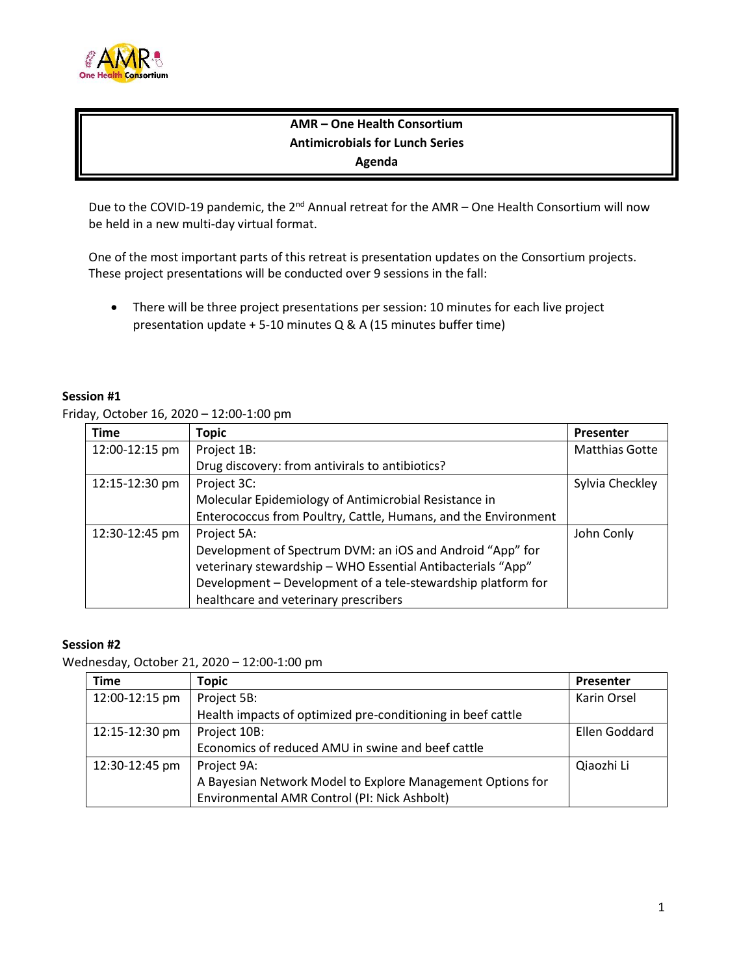

# **AMR – One Health Consortium Antimicrobials for Lunch Series Agenda**

Due to the COVID-19 pandemic, the  $2^{nd}$  Annual retreat for the AMR – One Health Consortium will now be held in a new multi-day virtual format.

One of the most important parts of this retreat is presentation updates on the Consortium projects. These project presentations will be conducted over 9 sessions in the fall:

• There will be three project presentations per session: 10 minutes for each live project presentation update + 5-10 minutes Q & A (15 minutes buffer time)

#### **Session #1**

Friday, October 16, 2020 – 12:00-1:00 pm

| <b>Time</b>    | Topic                                                          | Presenter             |
|----------------|----------------------------------------------------------------|-----------------------|
| 12:00-12:15 pm | Project 1B:                                                    | <b>Matthias Gotte</b> |
|                | Drug discovery: from antivirals to antibiotics?                |                       |
| 12:15-12:30 pm | Project 3C:                                                    | Sylvia Checkley       |
|                | Molecular Epidemiology of Antimicrobial Resistance in          |                       |
|                | Enterococcus from Poultry, Cattle, Humans, and the Environment |                       |
| 12:30-12:45 pm | Project 5A:                                                    | John Conly            |
|                | Development of Spectrum DVM: an iOS and Android "App" for      |                       |
|                | veterinary stewardship - WHO Essential Antibacterials "App"    |                       |
|                | Development - Development of a tele-stewardship platform for   |                       |
|                | healthcare and veterinary prescribers                          |                       |

#### **Session #2**

Wednesday, October 21, 2020 – 12:00-1:00 pm

| <b>Time</b>    | <b>Topic</b>                                                | Presenter     |
|----------------|-------------------------------------------------------------|---------------|
| 12:00-12:15 pm | Project 5B:                                                 | Karin Orsel   |
|                | Health impacts of optimized pre-conditioning in beef cattle |               |
| 12:15-12:30 pm | Project 10B:                                                | Ellen Goddard |
|                | Economics of reduced AMU in swine and beef cattle           |               |
| 12:30-12:45 pm | Project 9A:                                                 | Qiaozhi Li    |
|                | A Bayesian Network Model to Explore Management Options for  |               |
|                | Environmental AMR Control (PI: Nick Ashbolt)                |               |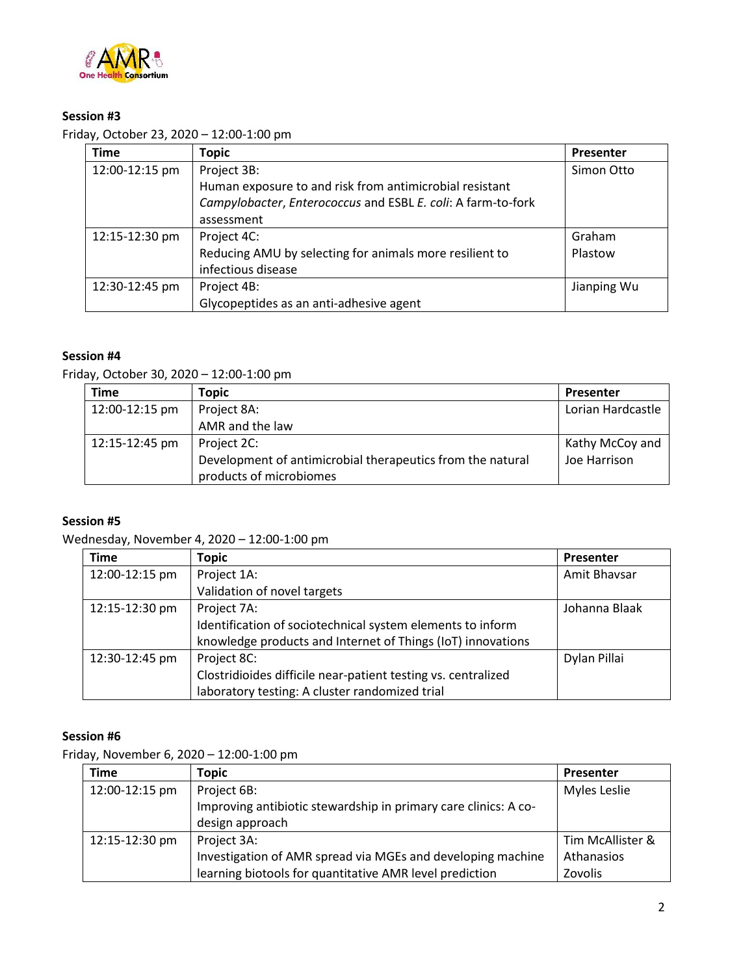

## **Session #3**

Friday, October 23, 2020 – 12:00-1:00 pm

| <b>Time</b>    | <b>Topic</b>                                                 | Presenter   |
|----------------|--------------------------------------------------------------|-------------|
| 12:00-12:15 pm | Project 3B:                                                  | Simon Otto  |
|                | Human exposure to and risk from antimicrobial resistant      |             |
|                | Campylobacter, Enterococcus and ESBL E. coli: A farm-to-fork |             |
|                | assessment                                                   |             |
| 12:15-12:30 pm | Project 4C:                                                  | Graham      |
|                | Reducing AMU by selecting for animals more resilient to      | Plastow     |
|                | infectious disease                                           |             |
| 12:30-12:45 pm | Project 4B:                                                  | Jianping Wu |
|                | Glycopeptides as an anti-adhesive agent                      |             |

## **Session #4**

Friday, October 30, 2020 – 12:00-1:00 pm

| Time           | Topic                                                      | <b>Presenter</b>  |
|----------------|------------------------------------------------------------|-------------------|
| 12:00-12:15 pm | Project 8A:                                                | Lorian Hardcastle |
|                | AMR and the law                                            |                   |
| 12:15-12:45 pm | Project 2C:                                                | Kathy McCoy and   |
|                | Development of antimicrobial therapeutics from the natural | Joe Harrison      |
|                | products of microbiomes                                    |                   |

#### **Session #5**

Wednesday, November 4, 2020 – 12:00-1:00 pm

| <b>Time</b>    | <b>Topic</b>                                                  | Presenter     |
|----------------|---------------------------------------------------------------|---------------|
| 12:00-12:15 pm | Project 1A:                                                   | Amit Bhavsar  |
|                | Validation of novel targets                                   |               |
| 12:15-12:30 pm | Project 7A:                                                   | Johanna Blaak |
|                | Identification of sociotechnical system elements to inform    |               |
|                | knowledge products and Internet of Things (IoT) innovations   |               |
| 12:30-12:45 pm | Project 8C:                                                   | Dylan Pillai  |
|                | Clostridioides difficile near-patient testing vs. centralized |               |
|                | laboratory testing: A cluster randomized trial                |               |

## **Session #6**

Friday, November 6, 2020 – 12:00-1:00 pm

| <b>Time</b>    | Topic                                                           | <b>Presenter</b> |
|----------------|-----------------------------------------------------------------|------------------|
| 12:00-12:15 pm | Project 6B:                                                     | Myles Leslie     |
|                | Improving antibiotic stewardship in primary care clinics: A co- |                  |
|                | design approach                                                 |                  |
| 12:15-12:30 pm | Project 3A:                                                     | Tim McAllister & |
|                | Investigation of AMR spread via MGEs and developing machine     | Athanasios       |
|                | learning biotools for quantitative AMR level prediction         | Zovolis          |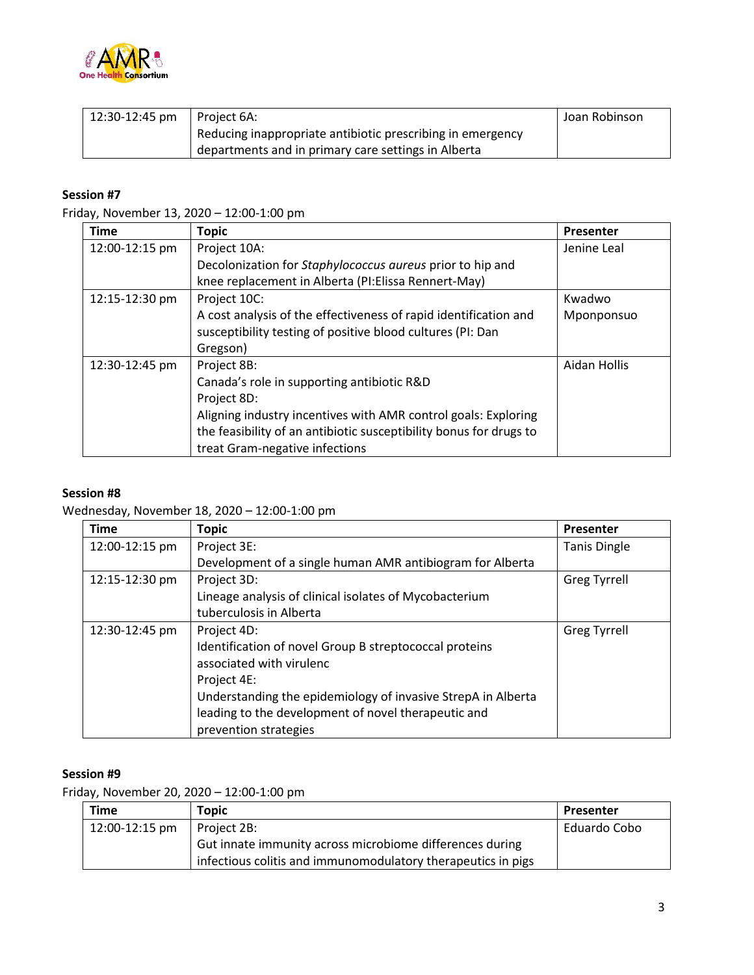

| 12:30-12:45 pm | l Proiect 6A:                                                           | Joan Robinson |
|----------------|-------------------------------------------------------------------------|---------------|
|                | <sup>1</sup> Reducing inappropriate antibiotic prescribing in emergency |               |
|                | departments and in primary care settings in Alberta                     |               |

### **Session #7**

Friday, November 13, 2020 – 12:00-1:00 pm

| <b>Time</b>    | <b>Topic</b>                                                       | Presenter    |
|----------------|--------------------------------------------------------------------|--------------|
| 12:00-12:15 pm | Project 10A:                                                       | Jenine Leal  |
|                | Decolonization for Staphylococcus aureus prior to hip and          |              |
|                | knee replacement in Alberta (PI: Elissa Rennert-May)               |              |
| 12:15-12:30 pm | Project 10C:                                                       | Kwadwo       |
|                | A cost analysis of the effectiveness of rapid identification and   | Mponponsuo   |
|                | susceptibility testing of positive blood cultures (PI: Dan         |              |
|                | Gregson)                                                           |              |
| 12:30-12:45 pm | Project 8B:                                                        | Aidan Hollis |
|                | Canada's role in supporting antibiotic R&D                         |              |
|                | Project 8D:                                                        |              |
|                | Aligning industry incentives with AMR control goals: Exploring     |              |
|                | the feasibility of an antibiotic susceptibility bonus for drugs to |              |
|                | treat Gram-negative infections                                     |              |

#### **Session #8**

# Wednesday, November 18, 2020 – 12:00-1:00 pm

| <b>Time</b>    | <b>Topic</b>                                                 | Presenter           |
|----------------|--------------------------------------------------------------|---------------------|
| 12:00-12:15 pm | Project 3E:                                                  | <b>Tanis Dingle</b> |
|                | Development of a single human AMR antibiogram for Alberta    |                     |
| 12:15-12:30 pm | Project 3D:                                                  | <b>Greg Tyrrell</b> |
|                | Lineage analysis of clinical isolates of Mycobacterium       |                     |
|                | tuberculosis in Alberta                                      |                     |
| 12:30-12:45 pm | Project 4D:                                                  | <b>Greg Tyrrell</b> |
|                | Identification of novel Group B streptococcal proteins       |                     |
|                | associated with virulenc                                     |                     |
|                | Project 4E:                                                  |                     |
|                | Understanding the epidemiology of invasive StrepA in Alberta |                     |
|                | leading to the development of novel therapeutic and          |                     |
|                | prevention strategies                                        |                     |

## **Session #9**

Friday, November 20, 2020 – 12:00-1:00 pm

| <b>Time</b>    | Topic                                                        | Presenter    |
|----------------|--------------------------------------------------------------|--------------|
| 12:00-12:15 pm | Project 2B:                                                  | Eduardo Cobo |
|                | Gut innate immunity across microbiome differences during     |              |
|                | infectious colitis and immunomodulatory therapeutics in pigs |              |